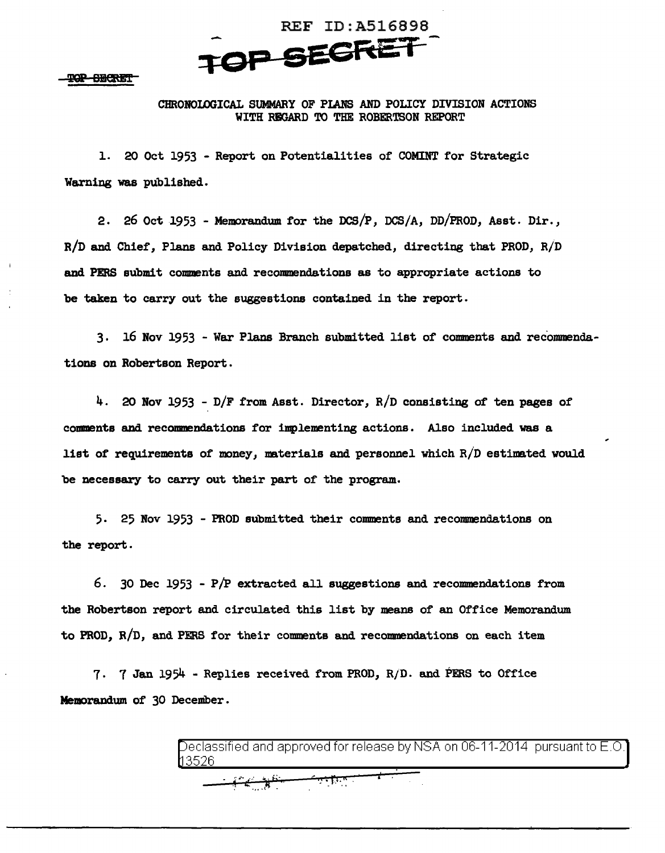

TOP SECRET

## CHRONOIOOICAL SUMMARY OF PIANS AND POLICY DIVISION ACTIONS WITH RBGARD TO THE ROBERTSON REPORT

1. 20 Oct 1953 - Report on Potentialities of COMINT for Strategic Warning was published.

2. 26 Oct 1953 - Memorandum for the DCS/P, DCS/A, DD/PROD, Asst. Dir., R/D and Chief', Plans and Policy Division depatched, directing that PROD, R/D and PERS submit comments and recommendations as to appropriate actions to be taken to carry out the suggestions contained in the report.

3. 16 Nov 1953 - War Plans Branch submitted list of' comments and recommendations on Robertson Report.

4. 20 Nov 1953 - D/F from Asst. Director,  $R/D$  consisting of ten pages of comments and recommendations for implementing actions. Also included was a list of requirements of money, materials and personnel which  $R/D$  estimated would be necessary to carry out their part of the program.

5. 25 Nov 1953 - PROD submitted their comments and recommendations on the report.

6. 30 Dec 1953 - P/P extracted all suggestions and recommendations from the Robertson report and circulated this list by means of an Office Memorandum to PROD, R/D, and PERS for their comments and recommendations on each item

7.  $7$  Jan 1954 - Replies received from PROD,  $R/D$ . and PERS to Office Memorandum of 30 December.

> eclassified and approved for release by NSA on 06-11-2014 pursuant to E.O. 3526

> > $\mathbf{I}$  .

ستنفق